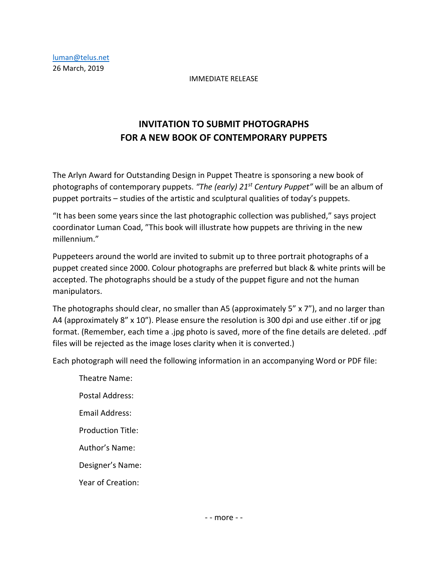## IMMEDIATE RELEASE

## **INVITATION TO SUBMIT PHOTOGRAPHS FOR A NEW BOOK OF CONTEMPORARY PUPPETS**

The Arlyn Award for Outstanding Design in Puppet Theatre is sponsoring a new book of photographs of contemporary puppets. *"The (early) 21st Century Puppet"* will be an album of puppet portraits – studies of the artistic and sculptural qualities of today's puppets.

"It has been some years since the last photographic collection was published," says project coordinator Luman Coad, "This book will illustrate how puppets are thriving in the new millennium."

Puppeteers around the world are invited to submit up to three portrait photographs of a puppet created since 2000. Colour photographs are preferred but black & white prints will be accepted. The photographs should be a study of the puppet figure and not the human manipulators.

The photographs should clear, no smaller than A5 (approximately 5" x 7"), and no larger than A4 (approximately 8" x 10"). Please ensure the resolution is 300 dpi and use either .tif or jpg format. (Remember, each time a .jpg photo is saved, more of the fine details are deleted. .pdf files will be rejected as the image loses clarity when it is converted.)

Each photograph will need the following information in an accompanying Word or PDF file:

Theatre Name: Postal Address: Email Address: Production Title: Author's Name: Designer's Name: Year of Creation: